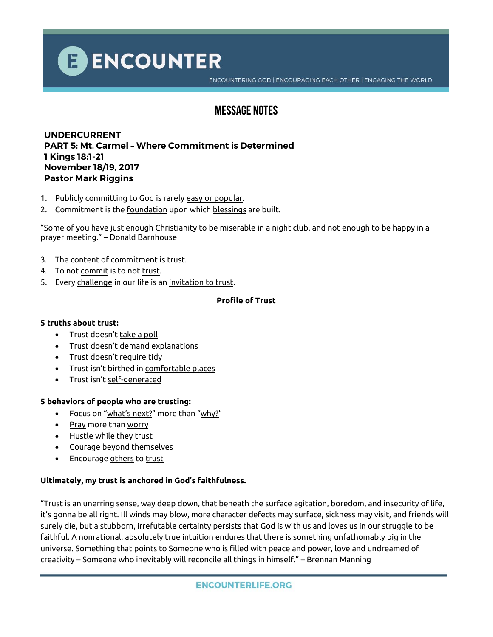

ENCOUNTERING GOD | ENCOURAGING EACH OTHER | ENGAGING THE WORLD

# **Message Notes**

## **UNDERCURRENT PART 5: Mt. Carmel – Where Commitment is Determined 1 Kings 18:1-21 November 18/19, 2017 Pastor Mark Riggins**

- 1. Publicly committing to God is rarely easy or popular.
- 2. Commitment is the foundation upon which blessings are built.

"Some of you have just enough Christianity to be miserable in a night club, and not enough to be happy in a prayer meeting." – Donald Barnhouse

- 3. The content of commitment is trust.
- 4. To not commit is to not trust.
- 5. Every challenge in our life is an invitation to trust.

## **Profile of Trust**

#### **5 truths about trust:**

- Trust doesn't take a poll
- Trust doesn't demand explanations
- Trust doesn't require tidy
- Trust isn't birthed in comfortable places
- Trust isn't self-generated

#### **5 behaviors of people who are trusting:**

- Focus on "what's next?" more than "why?"
- Pray more than worry
- Hustle while they trust
- Courage beyond themselves
- Encourage others to trust

## **Ultimately, my trust is anchored in God's faithfulness.**

"Trust is an unerring sense, way deep down, that beneath the surface agitation, boredom, and insecurity of life, it's gonna be all right. Ill winds may blow, more character defects may surface, sickness may visit, and friends will surely die, but a stubborn, irrefutable certainty persists that God is with us and loves us in our struggle to be faithful. A nonrational, absolutely true intuition endures that there is something unfathomably big in the universe. Something that points to Someone who is filled with peace and power, love and undreamed of creativity – Someone who inevitably will reconcile all things in himself." – Brennan Manning